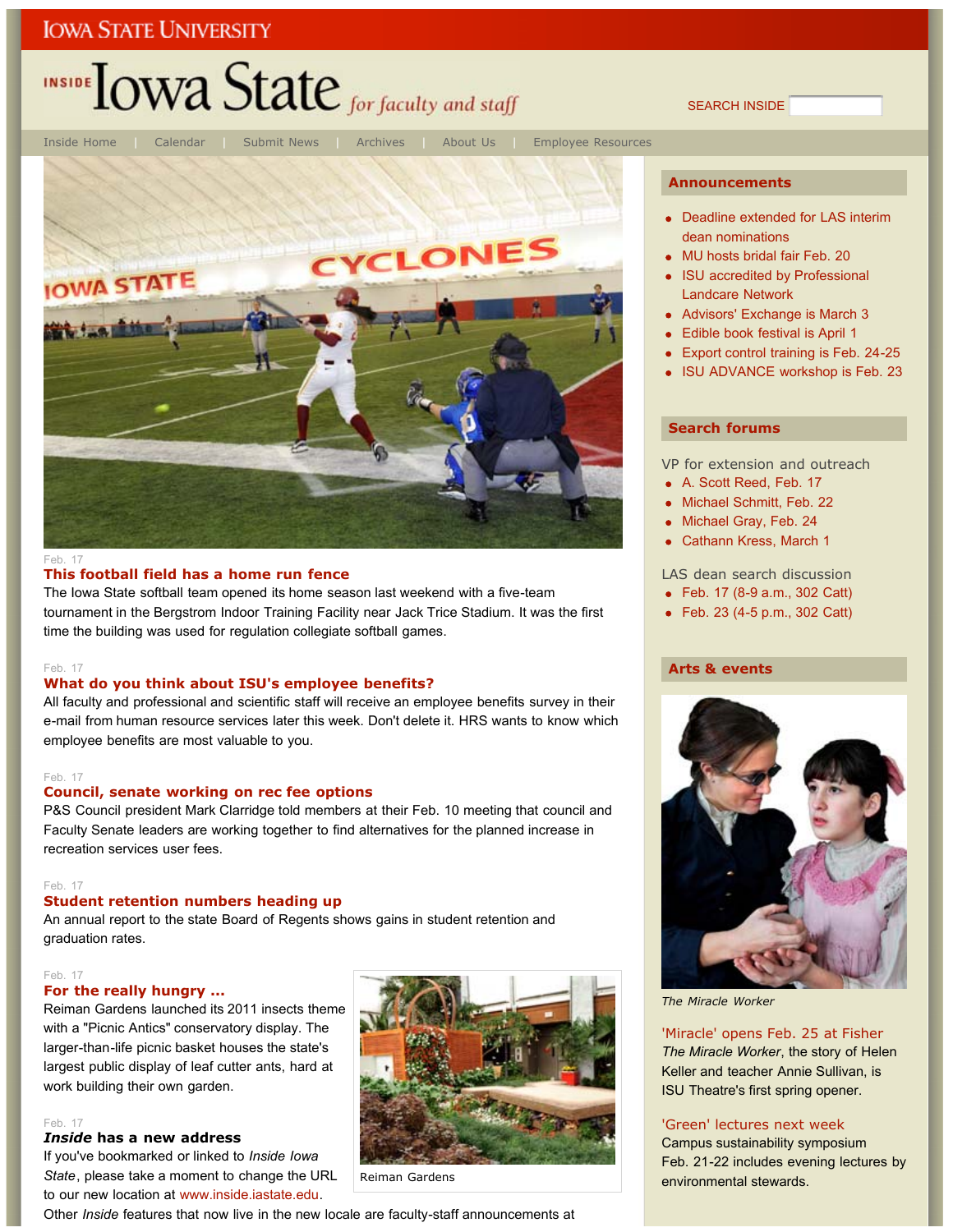# INSIDE LOWA State for faculty and staff

SEARCH INSIDE



#### Feb. 17

#### **This football field has a home run fence**

The Iowa State softball team opened its home season last weekend with a five-team tournament in the Bergstrom Indoor Training Facility near Jack Trice Stadium. It was the first time the building was used for regulation collegiate softball games.

#### Feb. 17

#### **What do you think about ISU's employee benefits?**

All faculty and professional and scientific staff will receive an employee benefits survey in their e-mail from human resource services later this week. Don't delete it. HRS wants to know which employee benefits are most valuable to you.

#### Feb. 17

#### **Council, senate working on rec fee options**

P&S Council president Mark Clarridge told members at their Feb. 10 meeting that council and Faculty Senate leaders are working together to find alternatives for the planned increase in recreation services user fees.

#### Feb. 17

### **Student retention numbers heading up**

An annual report to the state Board of Regents shows gains in student retention and graduation rates.

#### Feb. 17

#### **For the really hungry ...**

Reiman Gardens launched its 2011 insects theme with a "Picnic Antics" conservatory display. The larger-than-life picnic basket houses the state's largest public display of leaf cutter ants, hard at work building their own garden.

#### Feb. 17

#### *Inside* **has a new address**

If you've bookmarked or linked to *Inside Iowa State*, please take a moment to change the URL to our new location at www.inside.iastate.edu.



Reiman Gardens

Other *Inside* features that now live in the new locale are faculty-staff announcements at

#### **Announcements**

- Deadline extended for LAS interim dean nominations
- MU hosts bridal fair Feb. 20
- ISU accredited by Professional Landcare Network
- Advisors' Exchange is March 3
- Edible book festival is April 1
- **Export control training is Feb. 24-25**
- ISU ADVANCE workshop is Feb. 23

#### **Search forums**

VP for extension and outreach

- A. Scott Reed, Feb. 17
- Michael Schmitt, Feb. 22
- Michael Gray, Feb. 24
- Cathann Kress, March 1

### LAS dean search discussion

- Feb. 17 (8-9 a.m., 302 Catt)
- Feb. 23 (4-5 p.m., 302 Catt)

#### **Arts & events**



*The Miracle Worker*

#### 'Miracle' opens Feb. 25 at Fisher

*The Miracle Worker*, the story of Helen Keller and teacher Annie Sullivan, is ISU Theatre's first spring opener.

#### 'Green' lectures next week

Campus sustainability symposium Feb. 21-22 includes evening lectures by environmental stewards.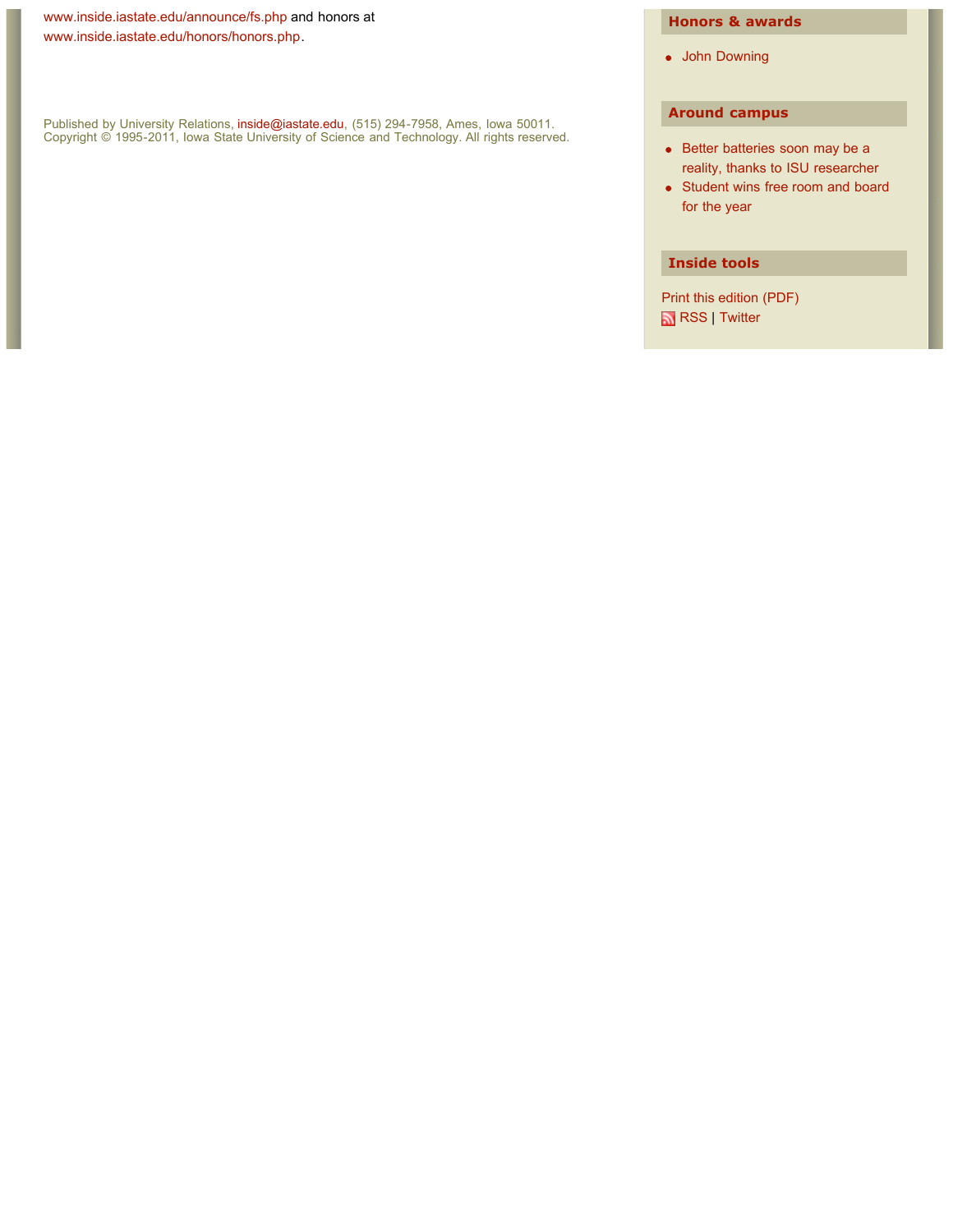www.inside.iastate.edu/announce/fs.php and honors at www.inside.iastate.edu/honors/honors.php.

Published by University Relations, inside@iastate.edu, (515) 294-7958, Ames, Iowa 50011. Copyright © 1995-2011, Iowa State University of Science and Technology. All rights reserved.

### **Honors & awards**

John Downing

### **Around campus**

- Better batteries soon may be a reality, thanks to ISU researcher
- Student wins free room and board for the year

#### **Inside tools**

Print this edition (PDF) RSS | Twitter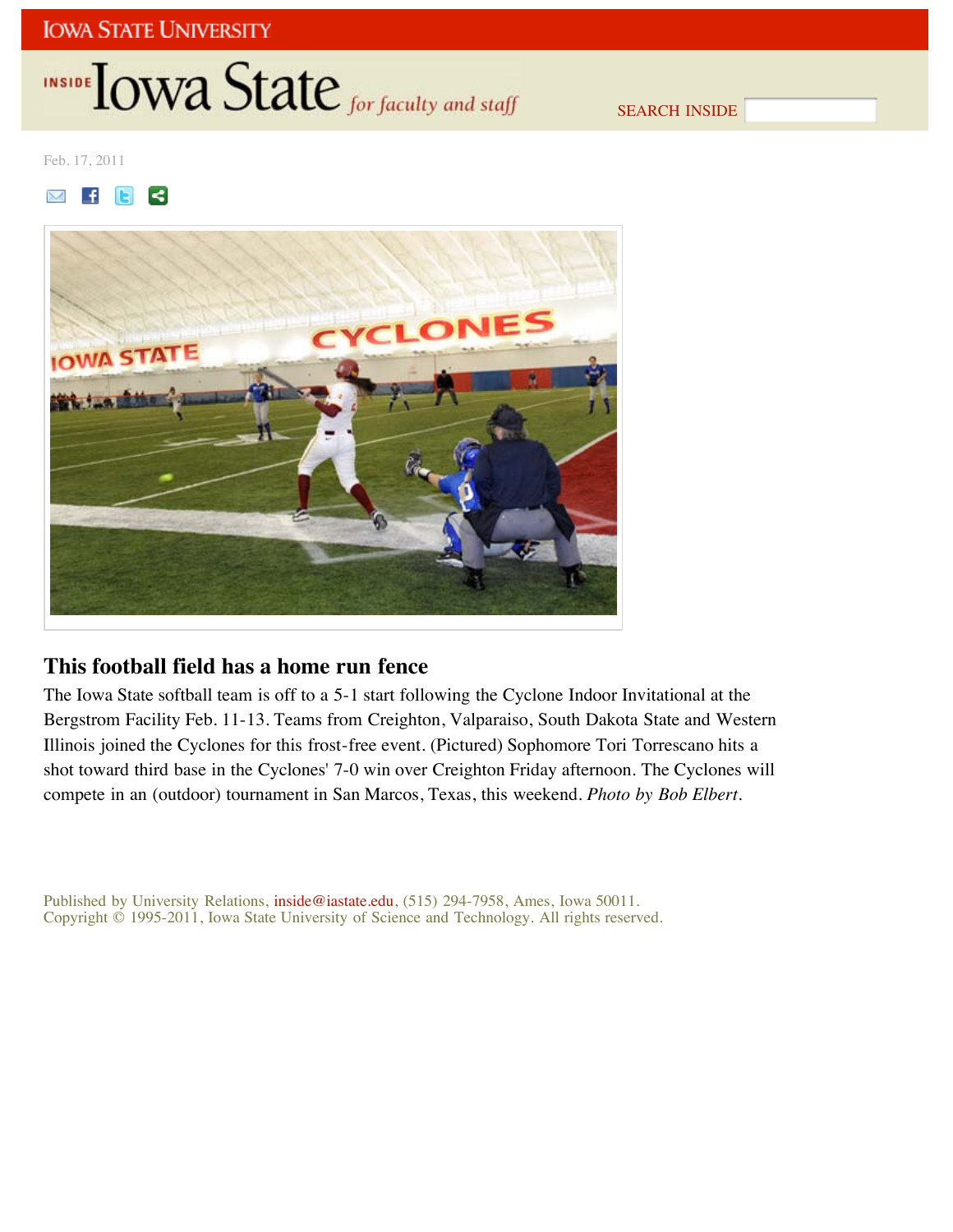# INSIDE **IOWA State** for faculty and staff

SEARCH INSIDE

Feb. 17, 2011

 $\mathbb{M}$  $\blacksquare$  $\leq$ 



## **This football field has a home run fence**

The Iowa State softball team is off to a 5-1 start following the Cyclone Indoor Invitational at the Bergstrom Facility Feb. 11-13. Teams from Creighton, Valparaiso, South Dakota State and Western Illinois joined the Cyclones for this frost-free event. (Pictured) Sophomore Tori Torrescano hits a shot toward third base in the Cyclones' 7-0 win over Creighton Friday afternoon. The Cyclones will compete in an (outdoor) tournament in San Marcos, Texas, this weekend. *Photo by Bob Elbert*.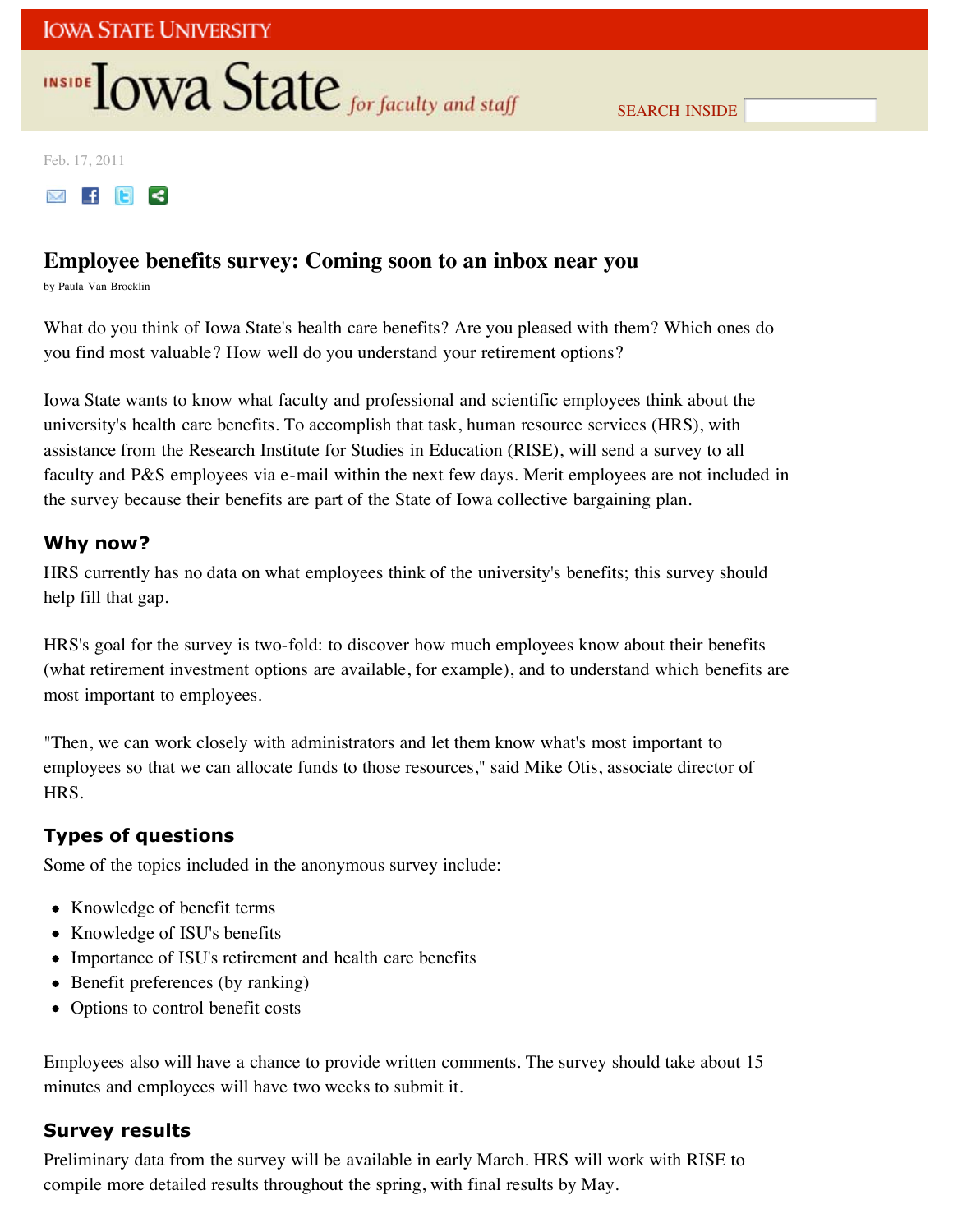# INSIDE **IOWA State** for faculty and staff

SEARCH INSIDE

Feb. 17, 2011



## **Employee benefits survey: Coming soon to an inbox near you**

by Paula Van Brocklin

What do you think of Iowa State's health care benefits? Are you pleased with them? Which ones do you find most valuable? How well do you understand your retirement options?

Iowa State wants to know what faculty and professional and scientific employees think about the university's health care benefits. To accomplish that task, human resource services (HRS), with assistance from the Research Institute for Studies in Education (RISE), will send a survey to all faculty and P&S employees via e-mail within the next few days. Merit employees are not included in the survey because their benefits are part of the State of Iowa collective bargaining plan.

### **Why now?**

HRS currently has no data on what employees think of the university's benefits; this survey should help fill that gap.

HRS's goal for the survey is two-fold: to discover how much employees know about their benefits (what retirement investment options are available, for example), and to understand which benefits are most important to employees.

"Then, we can work closely with administrators and let them know what's most important to employees so that we can allocate funds to those resources," said Mike Otis, associate director of HRS.

## **Types of questions**

Some of the topics included in the anonymous survey include:

- Knowledge of benefit terms
- Knowledge of ISU's benefits
- Importance of ISU's retirement and health care benefits
- Benefit preferences (by ranking)
- Options to control benefit costs

Employees also will have a chance to provide written comments. The survey should take about 15 minutes and employees will have two weeks to submit it.

### **Survey results**

Preliminary data from the survey will be available in early March. HRS will work with RISE to compile more detailed results throughout the spring, with final results by May.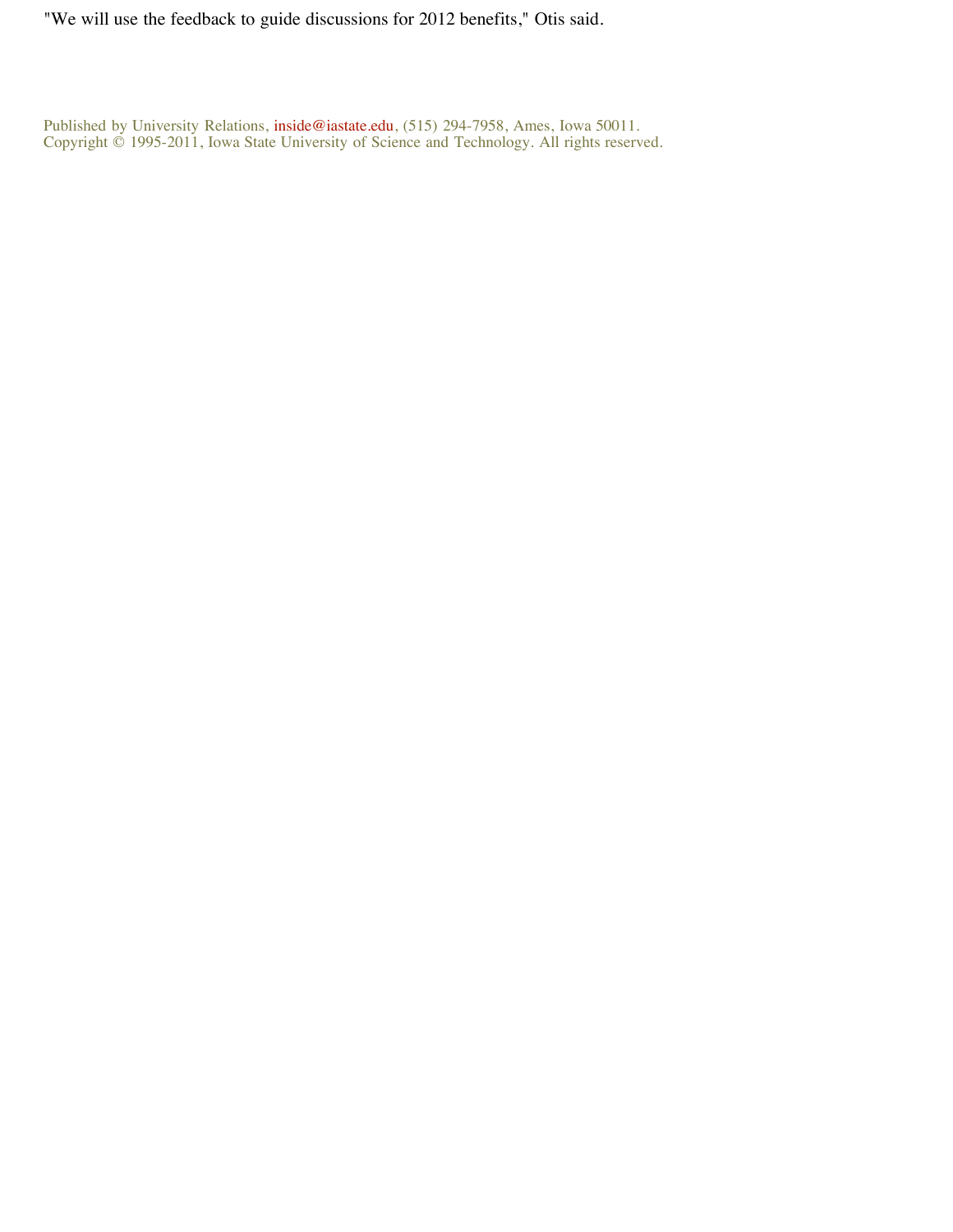"We will use the feedback to guide discussions for 2012 benefits," Otis said.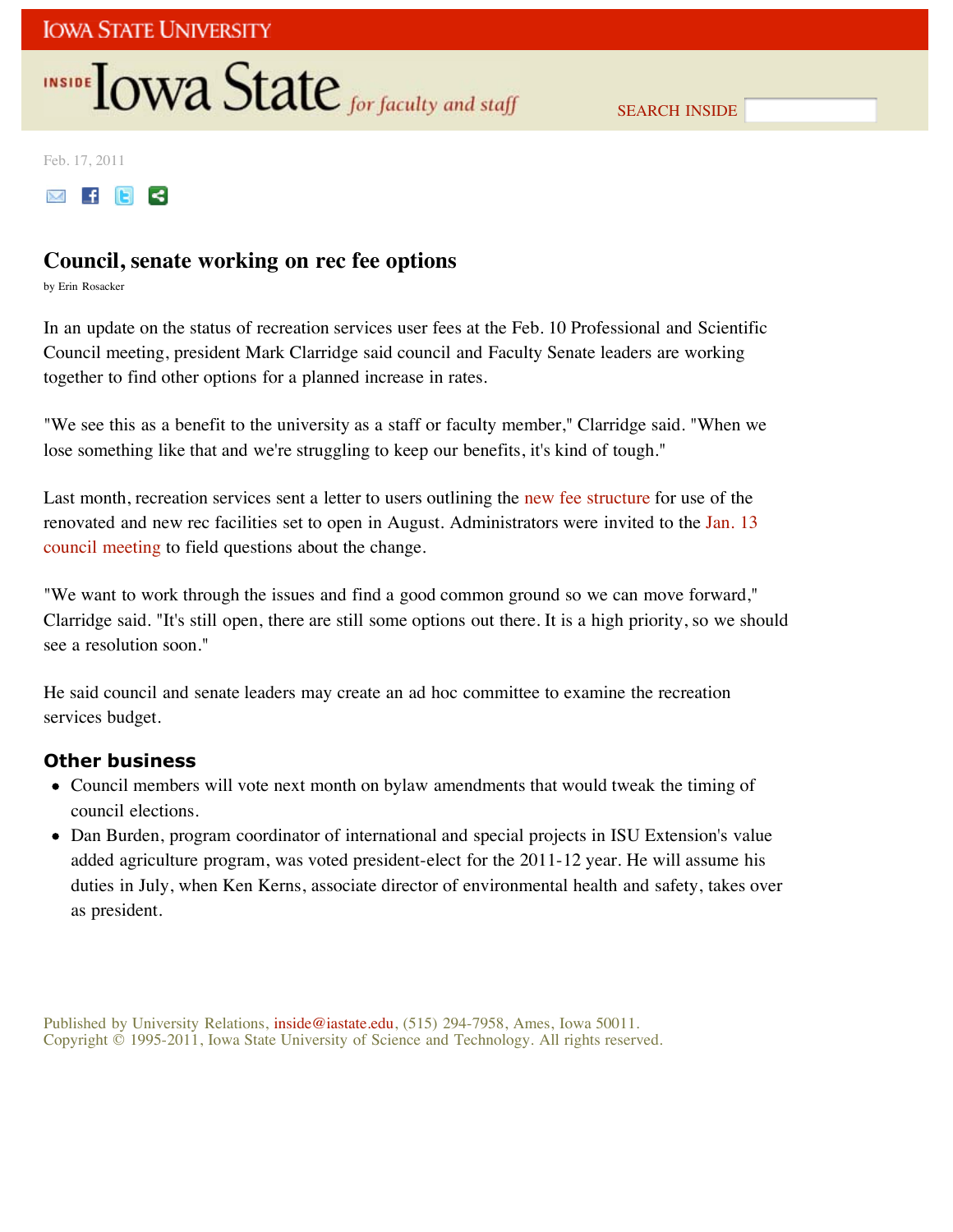# **INSIDE TOWA State** for faculty and staff

SEARCH INSIDE

Feb. 17, 2011



## **Council, senate working on rec fee options**

by Erin Rosacker

In an update on the status of recreation services user fees at the Feb. 10 Professional and Scientific Council meeting, president Mark Clarridge said council and Faculty Senate leaders are working together to find other options for a planned increase in rates.

"We see this as a benefit to the university as a staff or faculty member," Clarridge said. "When we lose something like that and we're struggling to keep our benefits, it's kind of tough."

Last month, recreation services sent a letter to users outlining the new fee structure for use of the renovated and new rec facilities set to open in August. Administrators were invited to the Jan. 13 council meeting to field questions about the change.

"We want to work through the issues and find a good common ground so we can move forward," Clarridge said. "It's still open, there are still some options out there. It is a high priority, so we should see a resolution soon."

He said council and senate leaders may create an ad hoc committee to examine the recreation services budget.

### **Other business**

- Council members will vote next month on bylaw amendments that would tweak the timing of council elections.
- Dan Burden, program coordinator of international and special projects in ISU Extension's value added agriculture program, was voted president-elect for the 2011-12 year. He will assume his duties in July, when Ken Kerns, associate director of environmental health and safety, takes over as president.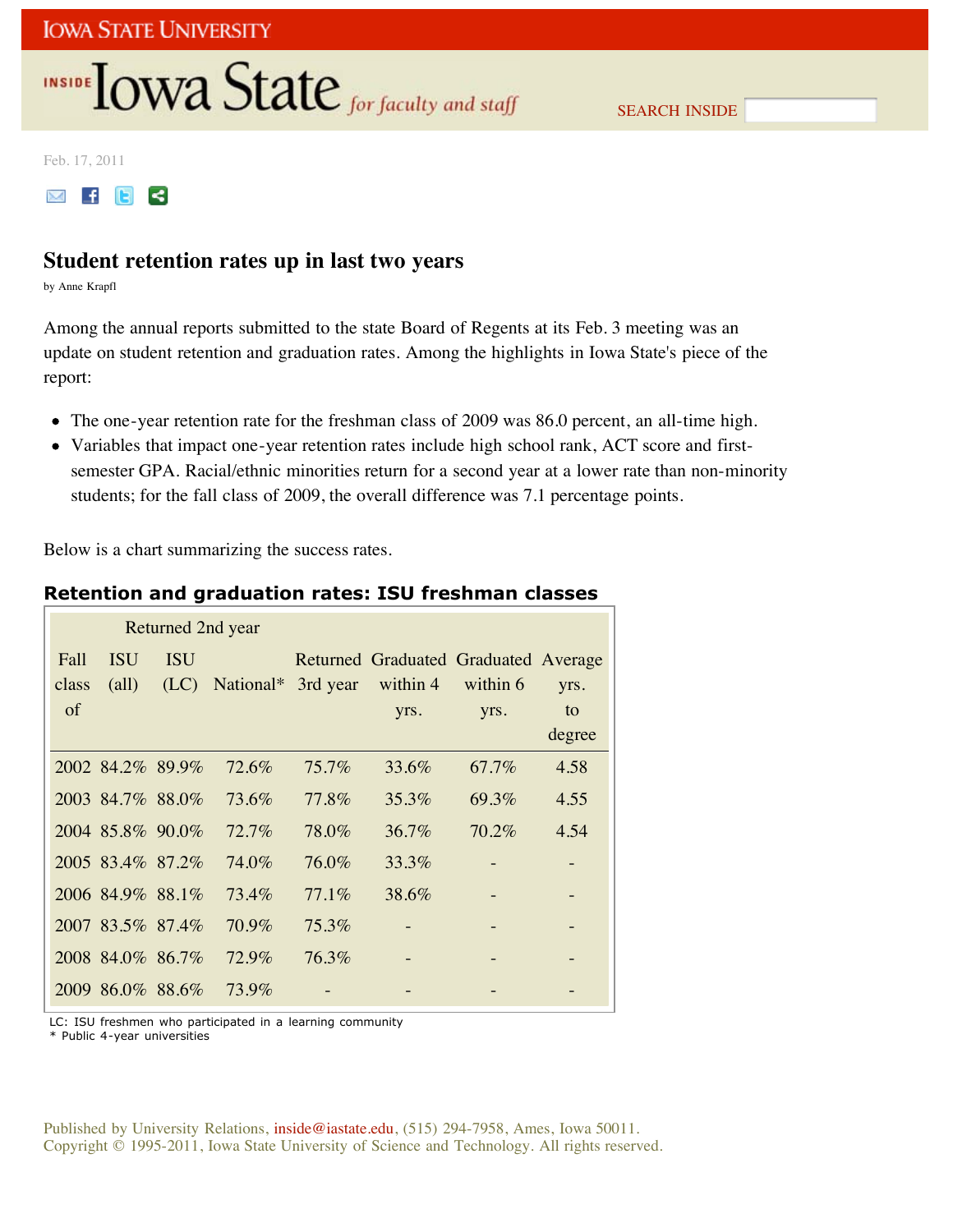# INSIDE **LOWA State** for faculty and staff

SEARCH INSIDE

Feb. 17, 2011



## **Student retention rates up in last two years**

by Anne Krapfl

Among the annual reports submitted to the state Board of Regents at its Feb. 3 meeting was an update on student retention and graduation rates. Among the highlights in Iowa State's piece of the report:

- The one-year retention rate for the freshman class of 2009 was 86.0 percent, an all-time high.
- Variables that impact one-year retention rates include high school rank, ACT score and firstsemester GPA. Racial/ethnic minorities return for a second year at a lower rate than non-minority students; for the fall class of 2009, the overall difference was 7.1 percentage points.

Below is a chart summarizing the success rates.

## **Retention and graduation rates: ISU freshman classes**

| Returned 2nd year |                  |            |                                    |          |                                      |          |        |
|-------------------|------------------|------------|------------------------------------|----------|--------------------------------------|----------|--------|
| Fall              | <b>ISU</b>       | <b>ISU</b> |                                    |          | Returned Graduated Graduated Average |          |        |
| class             | $\text{(all)}$   |            | $(LC)$ National* 3rd year within 4 |          |                                      | within 6 | yrs.   |
| of                |                  |            |                                    |          | yrs.                                 | yrs.     | to     |
|                   |                  |            |                                    |          |                                      |          | degree |
|                   | 2002 84.2% 89.9% |            | $72.6\%$                           | $75.7\%$ | 33.6%                                | 67.7%    | 4.58   |
|                   | 2003 84.7% 88.0% |            | 73.6%                              | 77.8%    | $35.3\%$                             | 69.3%    | 4.55   |
|                   | 2004 85.8% 90.0% |            | $72.7\%$                           | 78.0%    | $36.7\%$                             | 70.2%    | 4.54   |
|                   | 2005 83.4% 87.2% |            | 74.0%                              | 76.0%    | 33.3%                                |          |        |
|                   | 2006 84.9% 88.1% |            | 73.4%                              | $77.1\%$ | 38.6%                                |          |        |
|                   | 2007 83.5% 87.4% |            | $70.9\%$                           | 75.3%    |                                      |          |        |
|                   | 2008 84.0% 86.7% |            | 72.9%                              | 76.3%    |                                      |          |        |
|                   | 2009 86.0% 88.6% |            | 73.9%                              |          |                                      |          |        |

LC: ISU freshmen who participated in a learning community

\* Public 4-year universities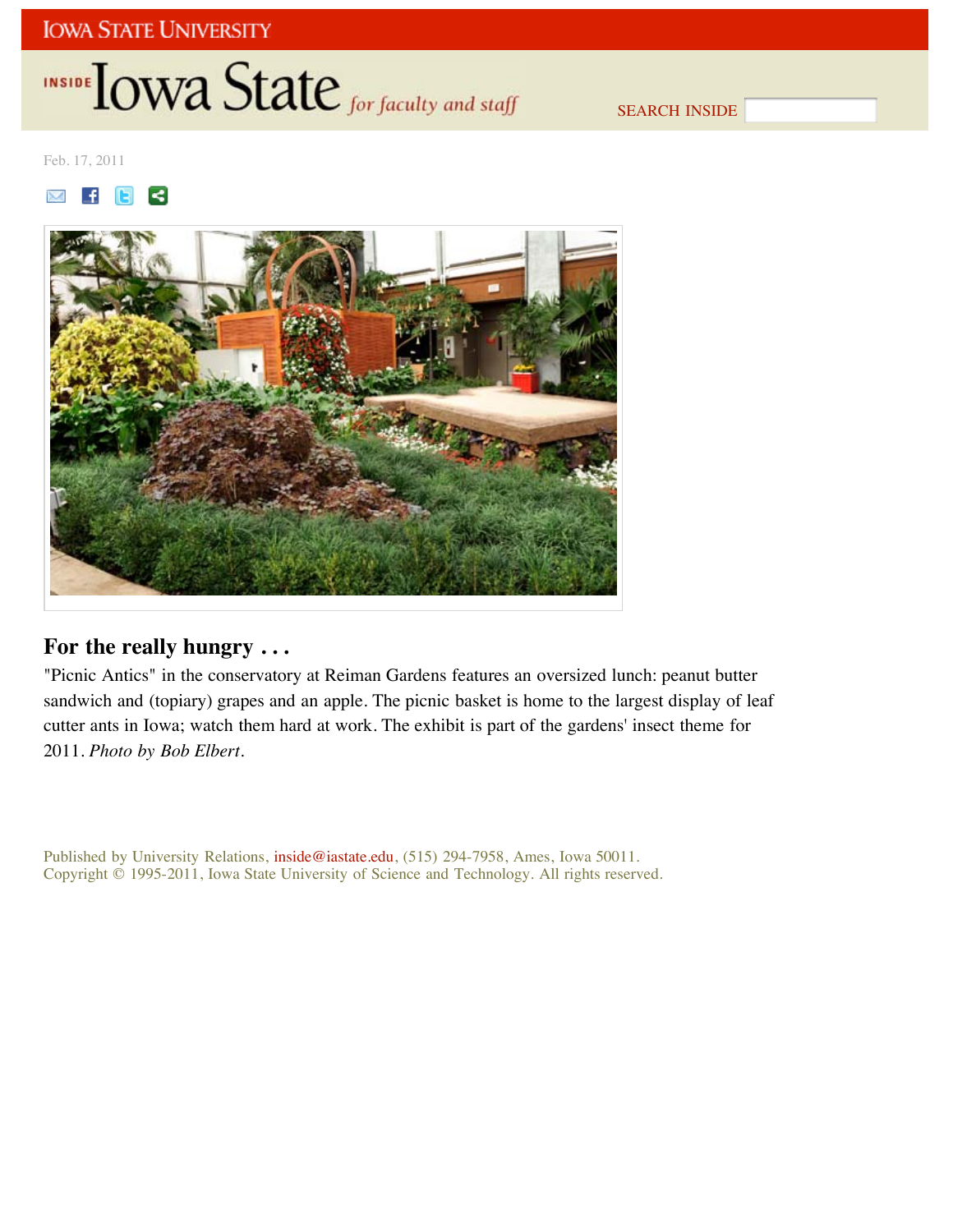# INSIDE **IOWA State** for faculty and staff

SEARCH INSIDE

Feb. 17, 2011

 $\mathbb{M}$  $\mathbf{f}$ **E**  $\leq$ 



## **For the really hungry . . .**

"Picnic Antics" in the conservatory at Reiman Gardens features an oversized lunch: peanut butter sandwich and (topiary) grapes and an apple. The picnic basket is home to the largest display of leaf cutter ants in Iowa; watch them hard at work. The exhibit is part of the gardens' insect theme for 2011. *Photo by Bob Elbert*.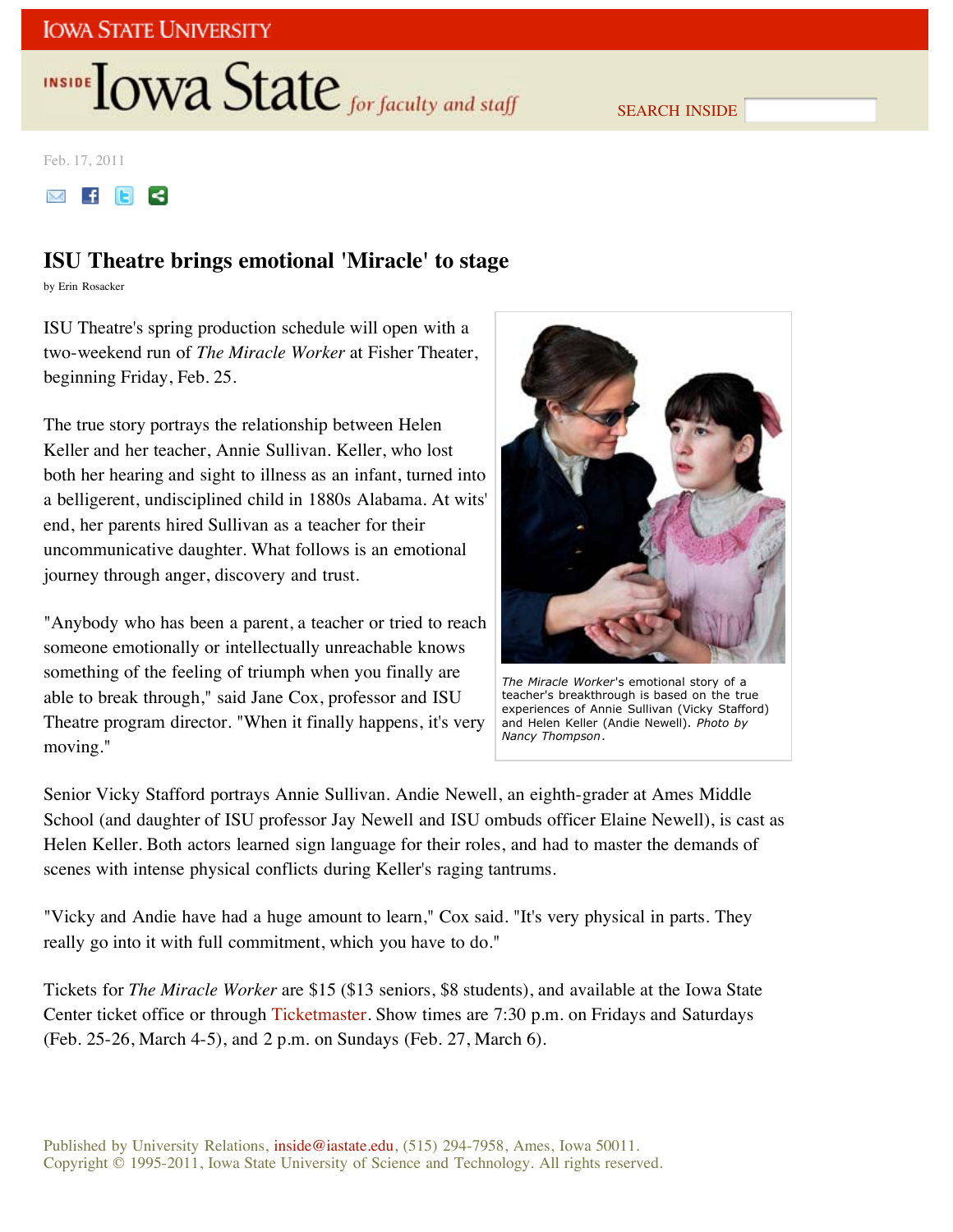# **INSIDE TOWA State** for faculty and staff

SEARCH INSIDE

Feb. 17, 2011



## **ISU Theatre brings emotional 'Miracle' to stage**

by Erin Rosacker

ISU Theatre's spring production schedule will open with a two-weekend run of *The Miracle Worker* at Fisher Theater, beginning Friday, Feb. 25.

The true story portrays the relationship between Helen Keller and her teacher, Annie Sullivan. Keller, who lost both her hearing and sight to illness as an infant, turned into a belligerent, undisciplined child in 1880s Alabama. At wits' end, her parents hired Sullivan as a teacher for their uncommunicative daughter. What follows is an emotional journey through anger, discovery and trust.

"Anybody who has been a parent, a teacher or tried to reach someone emotionally or intellectually unreachable knows something of the feeling of triumph when you finally are able to break through," said Jane Cox, professor and ISU Theatre program director. "When it finally happens, it's very moving."



*The Miracle Worker*'s emotional story of a teacher's breakthrough is based on the true experiences of Annie Sullivan (Vicky Stafford) and Helen Keller (Andie Newell). *Photo by Nancy Thompson*.

Senior Vicky Stafford portrays Annie Sullivan. Andie Newell, an eighth-grader at Ames Middle School (and daughter of ISU professor Jay Newell and ISU ombuds officer Elaine Newell), is cast as Helen Keller. Both actors learned sign language for their roles, and had to master the demands of scenes with intense physical conflicts during Keller's raging tantrums.

"Vicky and Andie have had a huge amount to learn," Cox said. "It's very physical in parts. They really go into it with full commitment, which you have to do."

Tickets for *The Miracle Worker* are \$15 (\$13 seniors, \$8 students), and available at the Iowa State Center ticket office or through Ticketmaster. Show times are 7:30 p.m. on Fridays and Saturdays (Feb. 25-26, March 4-5), and 2 p.m. on Sundays (Feb. 27, March 6).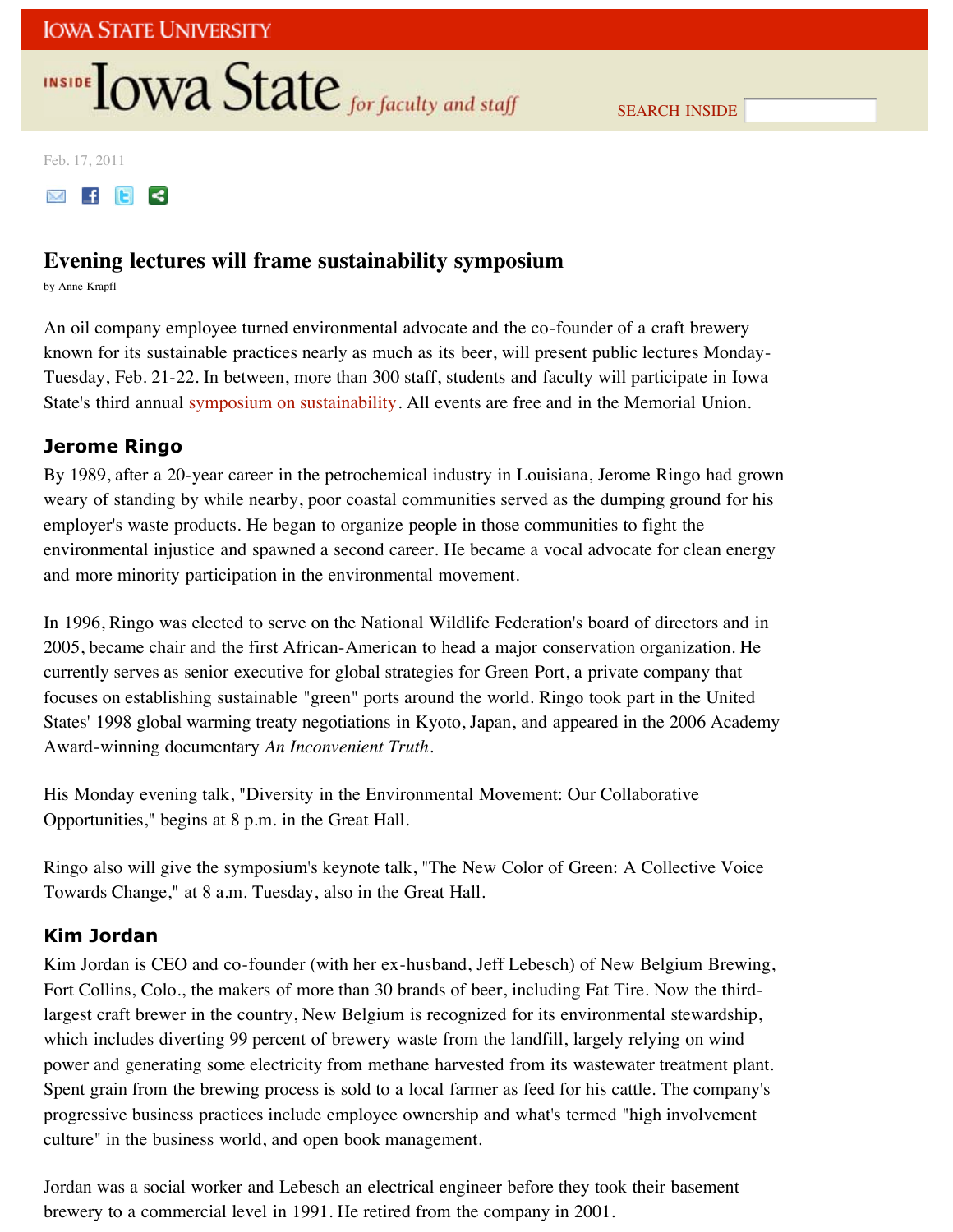# **INSIDE TOWA State** for faculty and staff

SEARCH INSIDE

Feb. 17, 2011

 $M$   $F$   $F$   $G$ 

## **Evening lectures will frame sustainability symposium**

by Anne Krapfl

An oil company employee turned environmental advocate and the co-founder of a craft brewery known for its sustainable practices nearly as much as its beer, will present public lectures Monday-Tuesday, Feb. 21-22. In between, more than 300 staff, students and faculty will participate in Iowa State's third annual symposium on sustainability. All events are free and in the Memorial Union.

### **Jerome Ringo**

By 1989, after a 20-year career in the petrochemical industry in Louisiana, Jerome Ringo had grown weary of standing by while nearby, poor coastal communities served as the dumping ground for his employer's waste products. He began to organize people in those communities to fight the environmental injustice and spawned a second career. He became a vocal advocate for clean energy and more minority participation in the environmental movement.

In 1996, Ringo was elected to serve on the National Wildlife Federation's board of directors and in 2005, became chair and the first African-American to head a major conservation organization. He currently serves as senior executive for global strategies for Green Port, a private company that focuses on establishing sustainable "green" ports around the world. Ringo took part in the United States' 1998 global warming treaty negotiations in Kyoto, Japan, and appeared in the 2006 Academy Award-winning documentary *An Inconvenient Truth*.

His Monday evening talk, "Diversity in the Environmental Movement: Our Collaborative Opportunities," begins at 8 p.m. in the Great Hall.

Ringo also will give the symposium's keynote talk, "The New Color of Green: A Collective Voice Towards Change," at 8 a.m. Tuesday, also in the Great Hall.

### **Kim Jordan**

Kim Jordan is CEO and co-founder (with her ex-husband, Jeff Lebesch) of New Belgium Brewing, Fort Collins, Colo., the makers of more than 30 brands of beer, including Fat Tire. Now the thirdlargest craft brewer in the country, New Belgium is recognized for its environmental stewardship, which includes diverting 99 percent of brewery waste from the landfill, largely relying on wind power and generating some electricity from methane harvested from its wastewater treatment plant. Spent grain from the brewing process is sold to a local farmer as feed for his cattle. The company's progressive business practices include employee ownership and what's termed "high involvement culture" in the business world, and open book management.

Jordan was a social worker and Lebesch an electrical engineer before they took their basement brewery to a commercial level in 1991. He retired from the company in 2001.